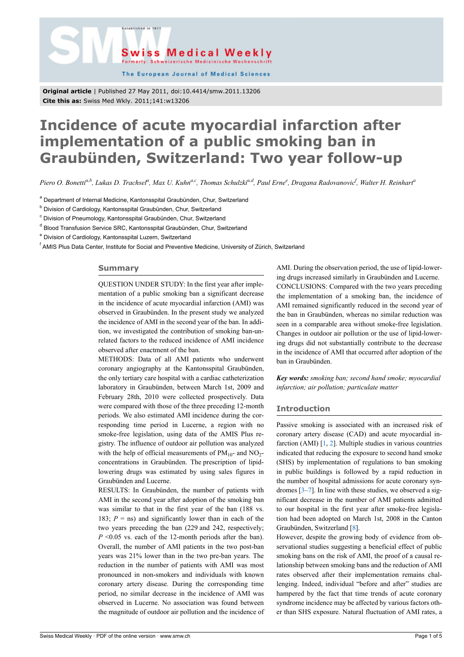



The European Journal of Medical Sciences

**Original article** | Published 27 May 2011, doi:10.4414/smw.2011.13206 **Cite this as:** Swiss Med Wkly. 2011;141:w13206

# **Incidence of acute myocardial infarction after implementation of a public smoking ban in Graubünden, Switzerland: Two year follow-up**

Piero O. Bonetti<sup>a,b</sup>, Lukas D. Trachsel<sup>a</sup>, Max U. Kuhn<sup>a,c</sup>, Thomas Schulzki<sup>a,d</sup>, Paul Erne<sup>e</sup>, Dragana Radovanovic<sup>f</sup>, Walter H. Reinhart<sup>a</sup>

<sup>a</sup> Department of Internal Medicine, Kantonsspital Graubünden, Chur, Switzerland

<sup>b</sup> Division of Cardiology, Kantonsspital Graubünden, Chur, Switzerland

<sup>c</sup> Division of Pneumology, Kantonsspital Graubünden, Chur, Switzerland

<sup>d</sup> Blood Transfusion Service SRC, Kantonsspital Graubünden, Chur, Switzerland

<sup>e</sup> Division of Cardiology, Kantonsspital Luzern, Switzerland

<sup>f</sup> AMIS Plus Data Center, Institute for Social and Preventive Medicine, University of Zürich, Switzerland

# **Summary**

QUESTION UNDER STUDY: In the first year after implementation of a public smoking ban a significant decrease in the incidence of acute myocardial infarction (AMI) was observed in Graubünden. In the present study we analyzed the incidence of AMI in the second year of the ban. In addition, we investigated the contribution of smoking ban-unrelated factors to the reduced incidence of AMI incidence observed after enactment of the ban.

METHODS: Data of all AMI patients who underwent coronary angiography at the Kantonsspital Graubünden, the only tertiary care hospital with a cardiac catheterization laboratory in Graubünden, between March 1st, 2009 and February 28th, 2010 were collected prospectively. Data were compared with those of the three preceding 12-month periods. We also estimated AMI incidence during the corresponding time period in Lucerne, a region with no smoke-free legislation, using data of the AMIS Plus registry. The influence of outdoor air pollution was analyzed with the help of official measurements of  $PM_{10}$ - and  $NO_2$ concentrations in Graubünden. The prescription of lipidlowering drugs was estimated by using sales figures in Graubünden and Lucerne.

RESULTS: In Graubünden, the number of patients with AMI in the second year after adoption of the smoking ban was similar to that in the first year of the ban (188 vs. 183;  $P =$ ns) and significantly lower than in each of the two years preceding the ban (229 and 242, respectively; *P* <0.05 vs. each of the 12-month periods after the ban). Overall, the number of AMI patients in the two post-ban years was 21% lower than in the two pre-ban years. The reduction in the number of patients with AMI was most pronounced in non-smokers and individuals with known coronary artery disease. During the corresponding time period, no similar decrease in the incidence of AMI was observed in Lucerne. No association was found between the magnitude of outdoor air pollution and the incidence of

AMI. During the observation period, the use of lipid-lowering drugs increased similarly in Graubünden and Lucerne. CONCLUSIONS: Compared with the two years preceding the implementation of a smoking ban, the incidence of AMI remained significantly reduced in the second year of the ban in Graubünden, whereas no similar reduction was seen in a comparable area without smoke-free legislation. Changes in outdoor air pollution or the use of lipid-lowering drugs did not substantially contribute to the decrease in the incidence of AMI that occurred after adoption of the ban in Graubünden.

*Key words: smoking ban; second hand smoke; myocardial infarction; air pollution; particulate matter*

### **Introduction**

Passive smoking is associated with an increased risk of coronary artery disease (CAD) and acute myocardial infarction (AMI)  $[1, 2]$  $[1, 2]$  $[1, 2]$  $[1, 2]$  $[1, 2]$ . Multiple studies in various countries indicated that reducing the exposure to second hand smoke (SHS) by implementation of regulations to ban smoking in public buildings is followed by a rapid reduction in the number of hospital admissions for acute coronary syndromes  $[3-7]$  $[3-7]$ . In line with these studies, we observed a significant decrease in the number of AMI patients admitted to our hospital in the first year after smoke-free legislation had been adopted on March 1st, 2008 in the Canton Graubünden, Switzerland [[8](#page-4-4)].

However, despite the growing body of evidence from observational studies suggesting a beneficial effect of public smoking bans on the risk of AMI, the proof of a causal relationship between smoking bans and the reduction of AMI rates observed after their implementation remains challenging. Indeed, individual "before and after" studies are hampered by the fact that time trends of acute coronary syndrome incidence may be affected by various factors other than SHS exposure. Natural fluctuation of AMI rates, a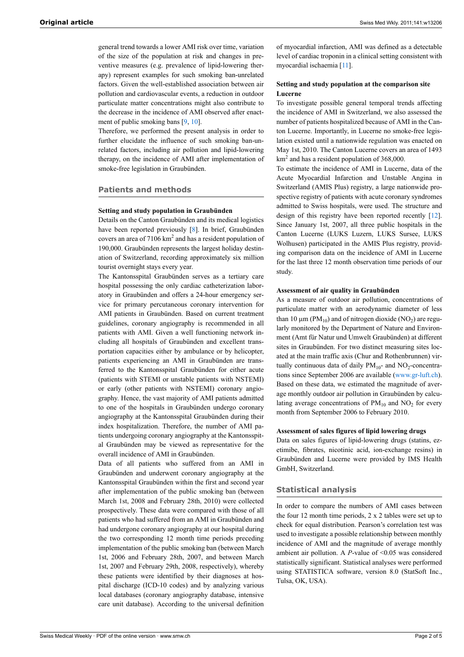general trend towards a lower AMI risk over time, variation of the size of the population at risk and changes in preventive measures (e.g. prevalence of lipid-lowering therapy) represent examples for such smoking ban-unrelated factors. Given the well-established association between air pollution and cardiovascular events, a reduction in outdoor particulate matter concentrations might also contribute to the decrease in the incidence of AMI observed after enact-ment of public smoking bans [[9](#page-4-5), [10\]](#page-4-6).

Therefore, we performed the present analysis in order to further elucidate the influence of such smoking ban-unrelated factors, including air pollution and lipid-lowering therapy, on the incidence of AMI after implementation of smoke-free legislation in Graubünden.

# **Patients and methods**

# **Setting and study population in Graubünden**

Details on the Canton Graubünden and its medical logistics have been reported previously [\[8\]](#page-4-4). In brief, Graubünden covers an area of  $7106 \text{ km}^2$  and has a resident population of 190,000. Graubünden represents the largest holiday destination of Switzerland, recording approximately six million tourist overnight stays every year.

The Kantonsspital Graubünden serves as a tertiary care hospital possessing the only cardiac catheterization laboratory in Graubünden and offers a 24-hour emergency service for primary percutaneous coronary intervention for AMI patients in Graubünden. Based on current treatment guidelines, coronary angiography is recommended in all patients with AMI. Given a well functioning network including all hospitals of Graubünden and excellent transportation capacities either by ambulance or by helicopter, patients experiencing an AMI in Graubünden are transferred to the Kantonsspital Graubünden for either acute (patients with STEMI or unstable patients with NSTEMI) or early (other patients with NSTEMI) coronary angiography. Hence, the vast majority of AMI patients admitted to one of the hospitals in Graubünden undergo coronary angiography at the Kantonsspital Graubünden during their index hospitalization. Therefore, the number of AMI patients undergoing coronary angiography at the Kantonsspital Graubünden may be viewed as representative for the overall incidence of AMI in Graubünden.

Data of all patients who suffered from an AMI in Graubünden and underwent coronary angiography at the Kantonsspital Graubünden within the first and second year after implementation of the public smoking ban (between March 1st, 2008 and February 28th, 2010) were collected prospectively. These data were compared with those of all patients who had suffered from an AMI in Graubünden and had undergone coronary angiography at our hospital during the two corresponding 12 month time periods preceding implementation of the public smoking ban (between March 1st, 2006 and February 28th, 2007, and between March 1st, 2007 and February 29th, 2008, respectively), whereby these patients were identified by their diagnoses at hospital discharge (ICD-10 codes) and by analyzing various local databases (coronary angiography database, intensive care unit database). According to the universal definition

of myocardial infarction, AMI was defined as a detectable level of cardiac troponin in a clinical setting consistent with myocardial ischaemia [[11](#page-4-7)].

# **Setting and study population at the comparison site Lucerne**

To investigate possible general temporal trends affecting the incidence of AMI in Switzerland, we also assessed the number of patients hospitalized because of AMI in the Canton Lucerne. Importantly, in Lucerne no smoke-free legislation existed until a nationwide regulation was enacted on May 1st, 2010. The Canton Lucerne covers an area of 1493  $km<sup>2</sup>$  and has a resident population of 368,000.

To estimate the incidence of AMI in Lucerne, data of the Acute Myocardial Infarction and Unstable Angina in Switzerland (AMIS Plus) registry, a large nationwide prospective registry of patients with acute coronary syndromes admitted to Swiss hospitals, were used. The structure and design of this registry have been reported recently [[12\]](#page-4-8). Since January 1st, 2007, all three public hospitals in the Canton Lucerne (LUKS Luzern, LUKS Sursee, LUKS Wolhusen) participated in the AMIS Plus registry, providing comparison data on the incidence of AMI in Lucerne for the last three 12 month observation time periods of our study.

## **Assessment of air quality in Graubünden**

As a measure of outdoor air pollution, concentrations of particulate matter with an aerodynamic diameter of less than 10  $\mu$ m (PM<sub>10</sub>) and of nitrogen dioxide (NO<sub>2</sub>) are regularly monitored by the Department of Nature and Environment (Amt für Natur und Umwelt Graubünden) at different sites in Graubünden. For two distinct measuring sites located at the main traffic axis (Chur and Rothenbrunnen) virtually continuous data of daily  $PM_{10}$ - and  $NO_2$ -concentrations since September 2006 are available ([www.gr-luft.ch\)](http://www.gr-luft.ch). Based on these data, we estimated the magnitude of average monthly outdoor air pollution in Graubünden by calculating average concentrations of  $PM_{10}$  and  $NO_2$  for every month from September 2006 to February 2010.

# **Assessment of sales figures of lipid lowering drugs**

Data on sales figures of lipid-lowering drugs (statins, ezetimibe, fibrates, nicotinic acid, ion-exchange resins) in Graubünden and Lucerne were provided by IMS Health GmbH, Switzerland.

# **Statistical analysis**

In order to compare the numbers of AMI cases between the four 12 month time periods, 2 x 2 tables were set up to check for equal distribution. Pearson's correlation test was used to investigate a possible relationship between monthly incidence of AMI and the magnitude of average monthly ambient air pollution. A *P*-value of <0.05 was considered statistically significant. Statistical analyses were performed using STATISTICA software, version 8.0 (StatSoft Inc., Tulsa, OK, USA).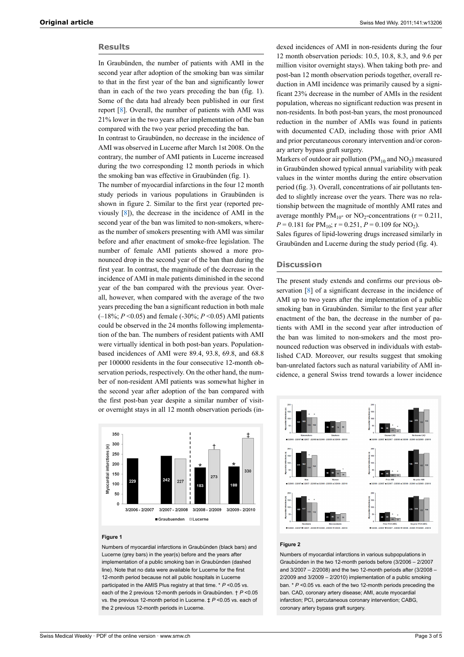# **Results**

In Graubünden, the number of patients with AMI in the second year after adoption of the smoking ban was similar to that in the first year of the ban and significantly lower than in each of the two years preceding the ban (fig. 1). Some of the data had already been published in our first report [[8](#page-4-4)]. Overall, the number of patients with AMI was 21% lower in the two years after implementation of the ban compared with the two year period preceding the ban.

In contrast to Graubünden, no decrease in the incidence of AMI was observed in Lucerne after March 1st 2008. On the contrary, the number of AMI patients in Lucerne increased during the two corresponding 12 month periods in which the smoking ban was effective in Graubünden (fig. 1).

The number of myocardial infarctions in the four 12 month study periods in various populations in Graubünden is shown in figure 2. Similar to the first year (reported previously [[8](#page-4-4)]), the decrease in the incidence of AMI in the second year of the ban was limited to non-smokers, whereas the number of smokers presenting with AMI was similar before and after enactment of smoke-free legislation. The number of female AMI patients showed a more pronounced drop in the second year of the ban than during the first year. In contrast, the magnitude of the decrease in the incidence of AMI in male patients diminished in the second year of the ban compared with the previous year. Overall, however, when compared with the average of the two years preceding the ban a significant reduction in both male (–18%; *P* <0.05) and female (-30%; *P* <0.05) AMI patients could be observed in the 24 months following implementation of the ban. The numbers of resident patients with AMI were virtually identical in both post-ban years. Populationbased incidences of AMI were 89.4, 93.8, 69.8, and 68.8 per 100000 residents in the four consecutive 12-month observation periods, respectively. On the other hand, the number of non-resident AMI patients was somewhat higher in the second year after adoption of the ban compared with the first post-ban year despite a similar number of visitor overnight stays in all 12 month observation periods (in-



#### **Figure 1**

Numbers of myocardial infarctions in Graubünden (black bars) and Lucerne (grey bars) in the year(s) before and the years after implementation of a public smoking ban in Graubünden (dashed line). Note that no data were available for Lucerne for the first 12-month period because not all public hospitals in Lucerne participated in the AMIS Plus registry at that time. \* *P* <0.05 vs. each of the 2 previous 12-month periods in Graubünden. † *P* <0.05 vs. the previous 12-month period in Lucerne. ‡ *P* <0.05 vs. each of the 2 previous 12-month periods in Lucerne.

dexed incidences of AMI in non-residents during the four 12 month observation periods: 10.5, 10.8, 8.3, and 9.6 per million visitor overnight stays). When taking both pre- and post-ban 12 month observation periods together, overall reduction in AMI incidence was primarily caused by a significant 23% decrease in the number of AMIs in the resident population, whereas no significant reduction was present in non-residents. In both post-ban years, the most pronounced reduction in the number of AMIs was found in patients with documented CAD, including those with prior AMI and prior percutaneous coronary intervention and/or coronary artery bypass graft surgery.

Markers of outdoor air pollution ( $PM_{10}$  and  $NO_2$ ) measured in Graubünden showed typical annual variability with peak values in the winter months during the entire observation period (fig. 3). Overall, concentrations of air pollutants tended to slightly increase over the years. There was no relationship between the magnitude of monthly AMI rates and average monthly  $PM_{10}$ - or NO<sub>2</sub>-concentrations (r = 0.211,  $P = 0.181$  for  $PM_{10}$ ;  $r = 0.251$ ,  $P = 0.109$  for NO<sub>2</sub>).

Sales figures of lipid-lowering drugs increased similarly in Graubünden and Lucerne during the study period (fig. 4).

# **Discussion**

The present study extends and confirms our previous observation [[8](#page-4-4)] of a significant decrease in the incidence of AMI up to two years after the implementation of a public smoking ban in Graubünden. Similar to the first year after enactment of the ban, the decrease in the number of patients with AMI in the second year after introduction of the ban was limited to non-smokers and the most pronounced reduction was observed in individuals with established CAD. Moreover, our results suggest that smoking ban-unrelated factors such as natural variability of AMI incidence, a general Swiss trend towards a lower incidence



#### **Figure 2**

Numbers of myocardial infarctions in various subpopulations in Graubünden in the two 12-month periods before (3/2006 – 2/2007 and 3/2007 – 2/2008) and the two 12-month periods after (3/2008 – 2/2009 and 3/2009 – 2/2010) implementation of a public smoking ban. \* *P* <0.05 vs. each of the two 12-month periods preceding the ban. CAD, coronary artery disease; AMI, acute myocardial infarction; PCI, percutaneous coronary intervention; CABG, coronary artery bypass graft surgery.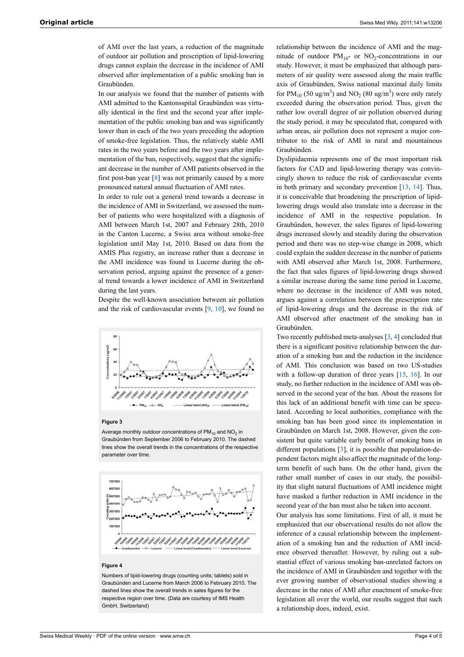of AMI over the last years, a reduction of the magnitude of outdoor air pollution and prescription of lipid-lowering drugs cannot explain the decrease in the incidence of AMI observed after implementation of a public smoking ban in Graubünden.

In our analysis we found that the number of patients with AMI admitted to the Kantonsspital Graubünden was virtually identical in the first and the second year after implementation of the public smoking ban and was significantly lower than in each of the two years preceding the adoption of smoke-free legislation. Thus, the relatively stable AMI rates in the two years before and the two years after implementation of the ban, respectively, suggest that the significant decrease in the number of AMI patients observed in the first post-ban year [[8](#page-4-4)] was not primarily caused by a more pronounced natural annual fluctuation of AMI rates.

In order to rule out a general trend towards a decrease in the incidence of AMI in Switzerland, we assessed the number of patients who were hospitalized with a diagnosis of AMI between March 1st, 2007 and February 28th, 2010 in the Canton Lucerne, a Swiss area without smoke-free legislation until May 1st, 2010. Based on data from the AMIS Plus registry, an increase rather than a decrease in the AMI incidence was found in Lucerne during the observation period, arguing against the presence of a general trend towards a lower incidence of AMI in Switzerland during the last years.

Despite the well-known association between air pollution and the risk of cardiovascular events  $[9, 10]$  $[9, 10]$  $[9, 10]$  $[9, 10]$  $[9, 10]$ , we found no



#### **Figure 3**

Average monthly outdoor concentrations of PM $_{10}$  and NO $_{2}$  in Graubünden from September 2006 to February 2010. The dashed lines show the overall trends in the concentrations of the respective parameter over time.



#### **Figure 4**

Numbers of lipid-lowering drugs (counting units; tablets) sold in Graubünden and Lucerne from March 2006 to February 2010. The dashed lines show the overall trends in sales figures for the respective region over time. (Data are courtesy of IMS Health GmbH, Switzerland)

relationship between the incidence of AMI and the magnitude of outdoor  $PM_{10}$ - or NO<sub>2</sub>-concentrations in our study. However, it must be emphasized that although parameters of air quality were assessed along the main traffic axis of Graubünden, Swiss national maximal daily limits for  $PM_{10}$  (50 ug/m<sup>3</sup>) and NO<sub>2</sub> (80 ug/m<sup>3</sup>) were only rarely exceeded during the observation period. Thus, given the rather low overall degree of air pollution observed during the study period, it may be speculated that, compared with urban areas, air pollution does not represent a major contributor to the risk of AMI in rural and mountainous Graubünden.

Dyslipidaemia represents one of the most important risk factors for CAD and lipid-lowering therapy was convincingly shown to reduce the risk of cardiovascular events in both primary and secondary prevention  $[13, 14]$  $[13, 14]$  $[13, 14]$  $[13, 14]$ . Thus, it is conceivable that broadening the prescription of lipidlowering drugs would also translate into a decrease in the incidence of AMI in the respective population. In Graubünden, however, the sales figures of lipid-lowering drugs increased slowly and steadily during the observation period and there was no step-wise change in 2008, which could explain the sudden decrease in the number of patients with AMI observed after March 1st, 2008. Furthermore, the fact that sales figures of lipid-lowering drugs showed a similar increase during the same time period in Lucerne, where no decrease in the incidence of AMI was noted, argues against a correlation between the prescription rate of lipid-lowering drugs and the decrease in the risk of AMI observed after enactment of the smoking ban in Graubünden.

Two recently published meta-analyses [\[3,](#page-4-2) [4\]](#page-4-11) concluded that there is a significant positive relationship between the duration of a smoking ban and the reduction in the incidence of AMI. This conclusion was based on two US-studies with a follow-up duration of three years [[15,](#page-4-12) [16](#page-4-13)]. In our study, no further reduction in the incidence of AMI was observed in the second year of the ban. About the reasons for this lack of an additional benefit with time can be speculated. According to local authorities, compliance with the smoking ban has been good since its implementation in Graubünden on March 1st, 2008. However, given the consistent but quite variable early benefit of smoking bans in different populations [\[3\]](#page-4-2), it is possible that population-dependent factors might also affect the magnitude of the longterm benefit of such bans. On the other hand, given the rather small number of cases in our study, the possibility that slight natural fluctuations of AMI incidence might have masked a further reduction in AMI incidence in the second year of the ban must also be taken into account.

Our analysis has some limitations. First of all, it must be emphasized that our observational results do not allow the inference of a causal relationship between the implementation of a smoking ban and the reduction of AMI incidence observed thereafter. However, by ruling out a substantial effect of various smoking ban-unrelated factors on the incidence of AMI in Graubünden and together with the ever growing number of observational studies showing a decrease in the rates of AMI after enactment of smoke-free legislation all over the world, our results suggest that such a relationship does, indeed, exist.